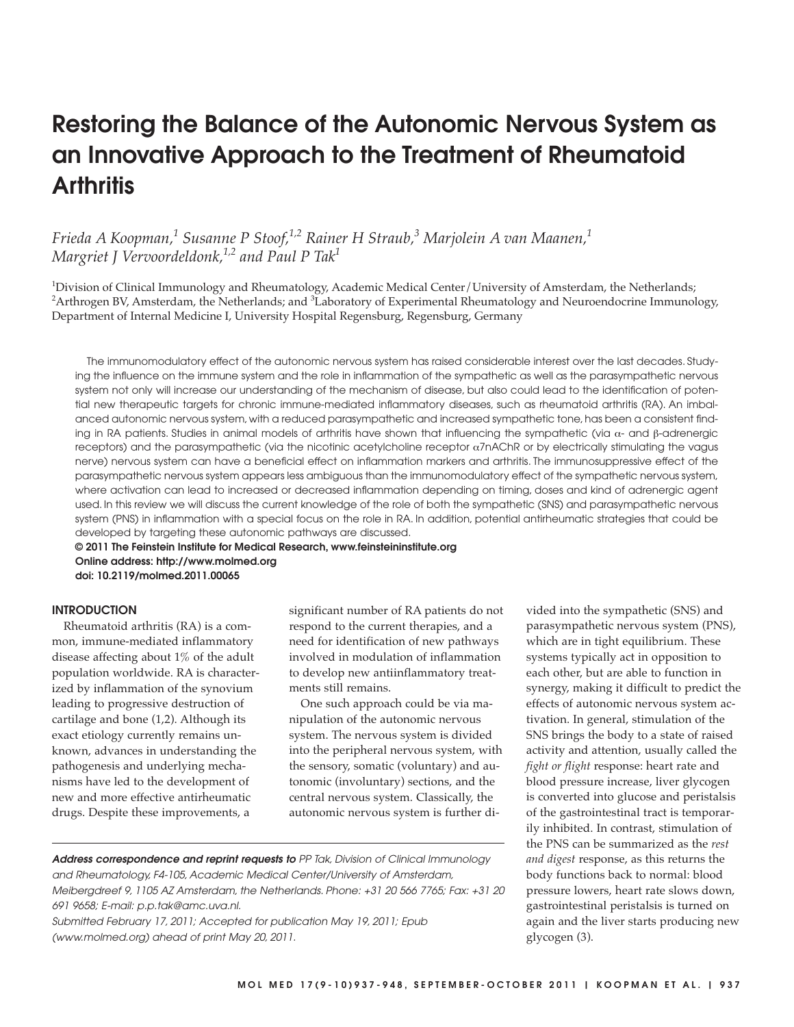# **Restoring the Balance of the Autonomic Nervous System as an Innovative Approach to the Treatment of Rheumatoid Arthritis**

# *Frieda A Koopman,<sup>1</sup> Susanne P Stoof,1,2 Rainer H Straub,<sup>3</sup> Marjolein A van Maanen,1 Margriet J Vervoordeldonk,1,2 and Paul P Tak1*

<sup>1</sup>Division of Clinical Immunology and Rheumatology, Academic Medical Center/University of Amsterdam, the Netherlands;  $^2$ Arthrogen BV, Amsterdam, the Netherlands; and  $^3$ Laboratory of Experimental Rheumatology and Neuroendocrine Immunology, Department of Internal Medicine I, University Hospital Regensburg, Regensburg, Germany

The immunomodulatory effect of the autonomic nervous system has raised considerable interest over the last decades. Studying the influence on the immune system and the role in inflammation of the sympathetic as well as the parasympathetic nervous system not only will increase our understanding of the mechanism of disease, but also could lead to the identification of potential new therapeutic targets for chronic immune-mediated inflammatory diseases, such as rheumatoid arthritis (RA). An imbalanced autonomic nervous system, with a reduced parasympathetic and increased sympathetic tone, has been a consistent finding in RA patients. Studies in animal models of arthritis have shown that influencing the sympathetic (via  $α$ - and β-adrenergic receptors) and the parasympathetic (via the nicotinic acetylcholine receptor α7nAChR or by electrically stimulating the vagus nerve) nervous system can have a beneficial effect on inflammation markers and arthritis. The immunosuppressive effect of the parasympathetic nervous system appears less ambiguous than the immunomodulatory effect of the sympathetic nervous system, where activation can lead to increased or decreased inflammation depending on timing, doses and kind of adrenergic agent used. In this review we will discuss the current knowledge of the role of both the sympathetic (SNS) and parasympathetic nervous system (PNS) in inflammation with a special focus on the role in RA. In addition, potential antirheumatic strategies that could be developed by targeting these autonomic pathways are discussed.

**© 2011 The Feinstein Institute for Medical Research, www.feinsteininstitute.org Online address: http://www.molmed.org doi: 10.2119/molmed.2011.00065**

### **INTRODUCTION**

Rheumatoid arthritis (RA) is a common, immune-mediated inflammatory disease affecting about 1% of the adult population worldwide. RA is characterized by inflammation of the synovium leading to progressive destruction of cartilage and bone (1,2). Although its exact etiology currently remains unknown, advances in understanding the pathogenesis and underlying mechanisms have led to the development of new and more effective antirheumatic drugs. Despite these improvements, a

significant number of RA patients do not respond to the current therapies, and a need for identification of new pathways involved in modulation of inflammation to develop new antiinflammatory treatments still remains.

One such approach could be via manipulation of the autonomic nervous system. The nervous system is divided into the peripheral nervous system, with the sensory, somatic (voluntary) and autonomic (involuntary) sections, and the central nervous system. Classically, the autonomic nervous system is further di-

**Address correspondence and reprint requests to** PP Tak, Division of Clinical Immunology and Rheumatology, F4-105, Academic Medical Center/University of Amsterdam, Meibergdreef 9, 1105 AZ Amsterdam, the Netherlands. Phone: +31 20 566 7765; Fax: +31 20 691 9658; E-mail: p.p.tak@amc.uva.nl.

Submitted February 17, 2011; Accepted for publication May 19, 2011; Epub (www.molmed.org) ahead of print May 20, 2011.

vided into the sympathetic (SNS) and parasympathetic nervous system (PNS), which are in tight equilibrium. These systems typically act in opposition to each other, but are able to function in synergy, making it difficult to predict the effects of autonomic nervous system activation. In general, stimulation of the SNS brings the body to a state of raised activity and attention, usually called the *fight or flight* response: heart rate and blood pressure increase, liver glycogen is converted into glucose and peristalsis of the gastrointestinal tract is temporarily inhibited. In contrast, stimulation of the PNS can be summarized as the *rest and digest* response, as this returns the body functions back to normal: blood pressure lowers, heart rate slows down, gastrointestinal peristalsis is turned on again and the liver starts producing new glycogen (3).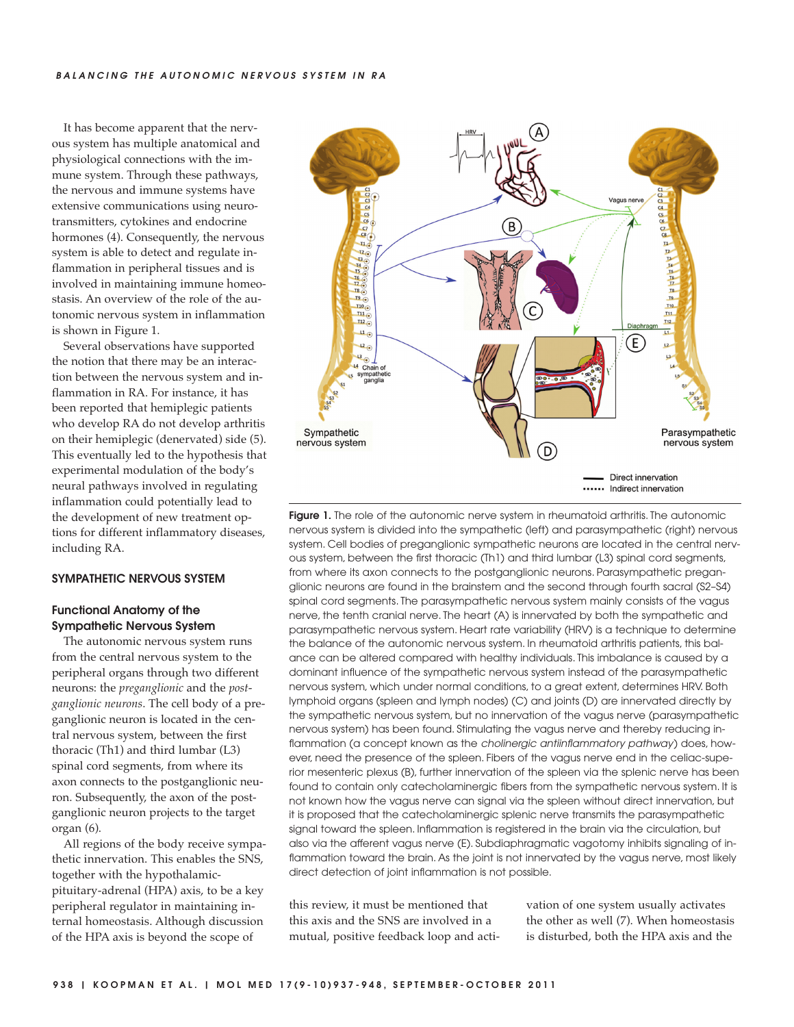It has become apparent that the nervous system has multiple anatomical and physiological connections with the immune system. Through these pathways, the nervous and immune systems have extensive communications using neurotransmitters, cytokines and endocrine hormones (4). Consequently, the nervous system is able to detect and regulate inflammation in peripheral tissues and is involved in maintaining immune homeostasis. An overview of the role of the autonomic nervous system in inflammation is shown in Figure 1.

Several observations have supported the notion that there may be an interaction between the nervous system and inflammation in RA. For instance, it has been reported that hemiplegic patients who develop RA do not develop arthritis on their hemiplegic (denervated) side (5). This eventually led to the hypothesis that experimental modulation of the body's neural pathways involved in regulating inflammation could potentially lead to the development of new treatment options for different inflammatory diseases, including RA.

#### **SYMPATHETIC NERVOUS SYSTEM**

# **Functional Anatomy of the Sympathetic Nervous System**

The autonomic nervous system runs from the central nervous system to the peripheral organs through two different neurons: the *preganglionic* and the *postganglionic neurons*. The cell body of a preganglionic neuron is located in the central nervous system, between the first thoracic (Th1) and third lumbar (L3) spinal cord segments, from where its axon connects to the postganglionic neuron. Subsequently, the axon of the postganglionic neuron projects to the target organ (6).

All regions of the body receive sympathetic innervation. This enables the SNS, together with the hypothalamic pituitary-adrenal (HPA) axis, to be a key peripheral regulator in maintaining internal homeostasis. Although discussion of the HPA axis is beyond the scope of



**Figure 1.** The role of the autonomic nerve system in rheumatoid arthritis. The autonomic nervous system is divided into the sympathetic (left) and parasympathetic (right) nervous system. Cell bodies of preganglionic sympathetic neurons are located in the central nervous system, between the first thoracic (Th1) and third lumbar (L3) spinal cord segments, from where its axon connects to the postganglionic neurons. Parasympathetic preganglionic neurons are found in the brainstem and the second through fourth sacral (S2–S4) spinal cord segments. The parasympathetic nervous system mainly consists of the vagus nerve, the tenth cranial nerve. The heart (A) is innervated by both the sympathetic and parasympathetic nervous system. Heart rate variability (HRV) is a technique to determine the balance of the autonomic nervous system. In rheumatoid arthritis patients, this balance can be altered compared with healthy individuals. This imbalance is caused by a dominant influence of the sympathetic nervous system instead of the parasympathetic nervous system, which under normal conditions, to a great extent, determines HRV. Both lymphoid organs (spleen and lymph nodes) (C) and joints (D) are innervated directly by the sympathetic nervous system, but no innervation of the vagus nerve (parasympathetic nervous system) has been found. Stimulating the vagus nerve and thereby reducing inflammation (a concept known as the cholinergic antiinflammatory pathway) does, however, need the presence of the spleen. Fibers of the vagus nerve end in the celiac-superior mesenteric plexus (B), further innervation of the spleen via the splenic nerve has been found to contain only catecholaminergic fibers from the sympathetic nervous system. It is not known how the vagus nerve can signal via the spleen without direct innervation, but it is proposed that the catecholaminergic splenic nerve transmits the parasympathetic signal toward the spleen. Inflammation is registered in the brain via the circulation, but also via the afferent vagus nerve (E). Subdiaphragmatic vagotomy inhibits signaling of inflammation toward the brain. As the joint is not innervated by the vagus nerve, most likely direct detection of joint inflammation is not possible.

this review, it must be mentioned that this axis and the SNS are involved in a mutual, positive feedback loop and activation of one system usually activates the other as well (7). When homeostasis is disturbed, both the HPA axis and the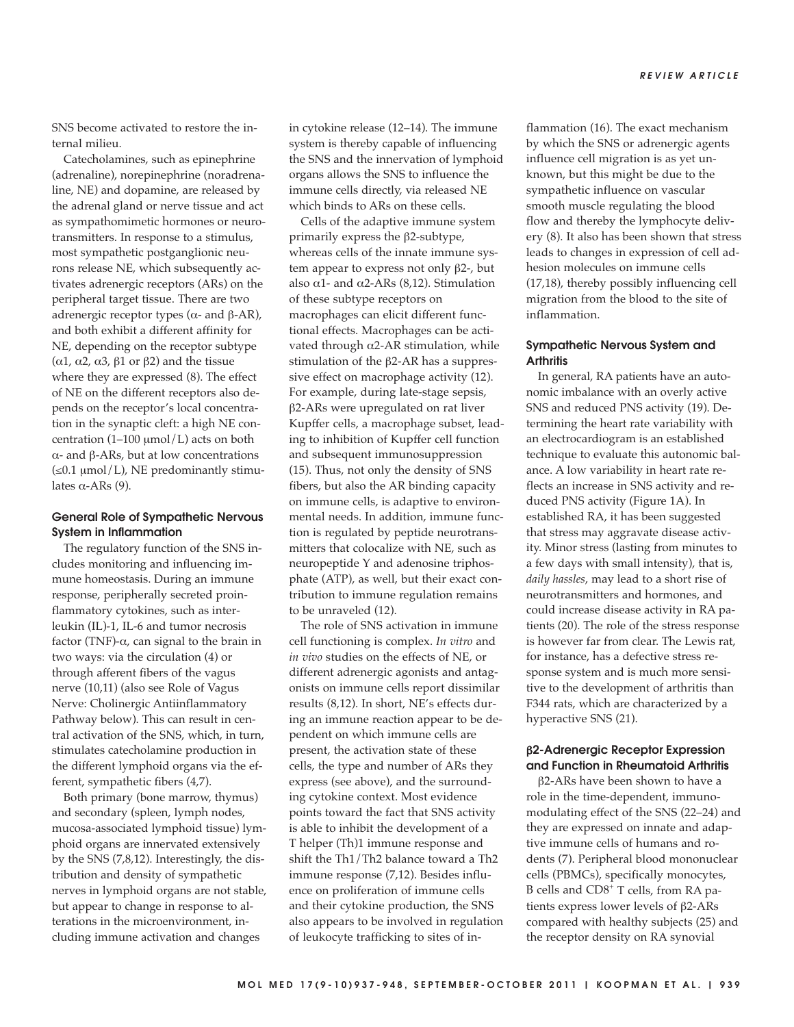SNS become activated to restore the internal milieu.

Catecholamines, such as epinephrine (adrenaline), norepinephrine (noradrenaline, NE) and dopamine, are released by the adrenal gland or nerve tissue and act as sympathomimetic hormones or neurotransmitters. In response to a stimulus, most sympathetic postganglionic neurons release NE, which subsequently activates adrenergic receptors (ARs) on the peripheral target tissue. There are two adrenergic receptor types ( $α$ - and  $β$ -AR), and both exhibit a different affinity for NE, depending on the receptor subtype (α1, α2, α3, β1 or β2) and the tissue where they are expressed (8). The effect of NE on the different receptors also depends on the receptor's local concentration in the synaptic cleft: a high NE concentration  $(1-100 \mu \text{mol/L})$  acts on both α- and β-ARs, but at low concentrations  $(\leq 0.1 \mu \text{mol/L})$ , NE predominantly stimulates  $α$ -ARs (9).

# **General Role of Sympathetic Nervous System in Inflammation**

The regulatory function of the SNS includes monitoring and influencing immune homeostasis. During an immune response, peripherally secreted proinflammatory cytokines, such as interleukin (IL)-1, IL-6 and tumor necrosis factor (TNF)-α, can signal to the brain in two ways: via the circulation (4) or through afferent fibers of the vagus nerve (10,11) (also see Role of Vagus Nerve: Cholinergic Antiinflammatory Pathway below). This can result in central activation of the SNS, which, in turn, stimulates catecholamine production in the different lymphoid organs via the efferent, sympathetic fibers (4,7).

Both primary (bone marrow, thymus) and secondary (spleen, lymph nodes, mucosa-associated lymphoid tissue) lymphoid organs are innervated extensively by the SNS (7,8,12). Interestingly, the distribution and density of sympathetic nerves in lymphoid organs are not stable, but appear to change in response to alterations in the microenvironment, including immune activation and changes

in cytokine release (12–14). The immune system is thereby capable of influencing the SNS and the innervation of lymphoid organs allows the SNS to influence the immune cells directly, via released NE which binds to ARs on these cells.

Cells of the adaptive immune system primarily express the β2-subtype, whereas cells of the innate immune system appear to express not only β2-, but also  $α1-$  and  $α2-ARS$  (8,12). Stimulation of these subtype receptors on macrophages can elicit different functional effects. Macrophages can be activated through α2-AR stimulation, while stimulation of the β2-AR has a suppressive effect on macrophage activity (12). For example, during late-stage sepsis, β2-ARs were upregulated on rat liver Kupffer cells, a macrophage subset, leading to inhibition of Kupffer cell function and subsequent immunosuppression (15). Thus, not only the density of SNS fibers, but also the AR binding capacity on immune cells, is adaptive to environmental needs. In addition, immune function is regulated by peptide neurotransmitters that colocalize with NE, such as neuropeptide Y and adenosine triphosphate (ATP), as well, but their exact contribution to immune regulation remains to be unraveled (12).

The role of SNS activation in immune cell functioning is complex. *In vitro* and *in vivo* studies on the effects of NE, or different adrenergic agonists and antagonists on immune cells report dissimilar results (8,12). In short, NE's effects during an immune reaction appear to be dependent on which immune cells are present, the activation state of these cells, the type and number of ARs they express (see above), and the surrounding cytokine context. Most evidence points toward the fact that SNS activity is able to inhibit the development of a T helper (Th)1 immune response and shift the Th1/Th2 balance toward a Th2 immune response (7,12). Besides influence on proliferation of immune cells and their cytokine production, the SNS also appears to be involved in regulation of leukocyte trafficking to sites of inflammation (16). The exact mechanism by which the SNS or adrenergic agents influence cell migration is as yet unknown, but this might be due to the sympathetic influence on vascular smooth muscle regulating the blood flow and thereby the lymphocyte delivery (8). It also has been shown that stress leads to changes in expression of cell adhesion molecules on immune cells (17,18), thereby possibly influencing cell migration from the blood to the site of inflammation.

## **Sympathetic Nervous System and Arthritis**

In general, RA patients have an autonomic imbalance with an overly active SNS and reduced PNS activity (19). Determining the heart rate variability with an electrocardiogram is an established technique to evaluate this autonomic balance. A low variability in heart rate reflects an increase in SNS activity and reduced PNS activity (Figure 1A). In established RA, it has been suggested that stress may aggravate disease activity. Minor stress (lasting from minutes to a few days with small intensity), that is, *daily hassles*, may lead to a short rise of neurotransmitters and hormones, and could increase disease activity in RA patients (20). The role of the stress response is however far from clear. The Lewis rat, for instance, has a defective stress response system and is much more sensitive to the development of arthritis than F344 rats, which are characterized by a hyperactive SNS (21).

#### β**2-Adrenergic Receptor Expression and Function in Rheumatoid Arthritis**

β2-ARs have been shown to have a role in the time-dependent, immunomodulating effect of the SNS (22–24) and they are expressed on innate and adaptive immune cells of humans and rodents (7). Peripheral blood mononuclear cells (PBMCs), specifically monocytes, B cells and CD8<sup>+</sup> T cells, from RA patients express lower levels of β2-ARs compared with healthy subjects (25) and the receptor density on RA synovial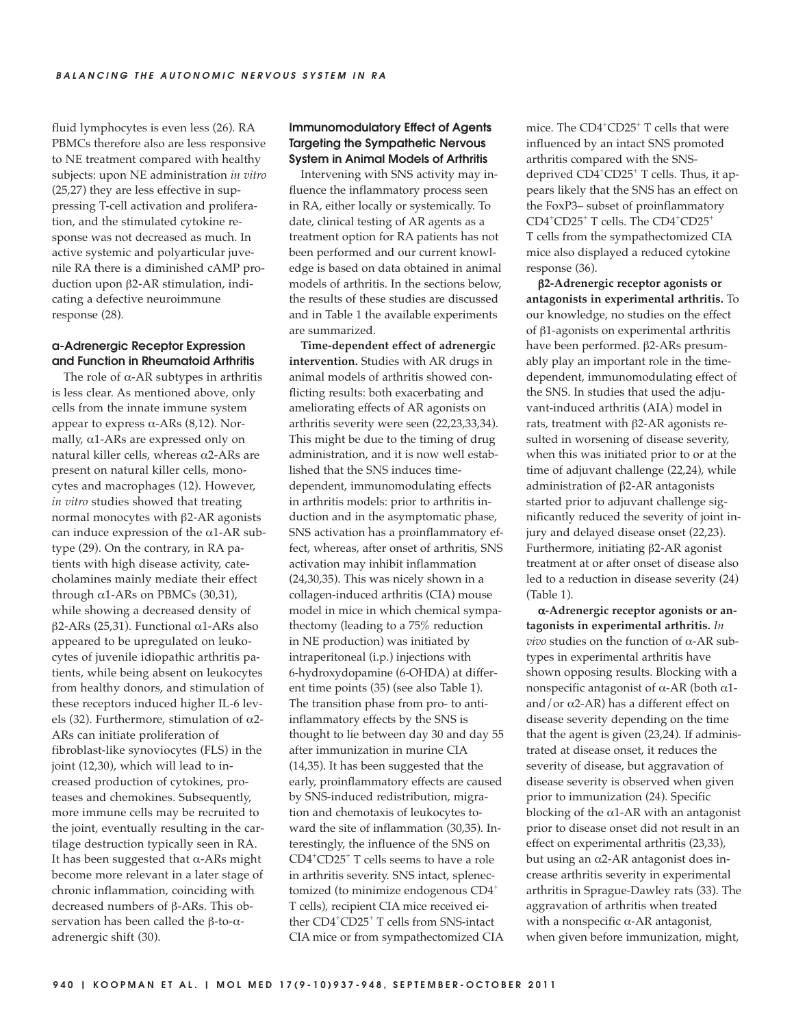fluid lymphocytes is even less (26). RA PBMCs therefore also are less responsive to NE treatment compared with healthy subjects: upon NE administration *in vitro* (25,27) they are less effective in suppressing T-cell activation and proliferation, and the stimulated cytokine response was not decreased as much. In active systemic and polyarticular juvenile RA there is a diminished cAMP production upon β2-AR stimulation, indicating a defective neuroimmune response (28).

#### **a-Adrenergic Receptor Expression and Function in Rheumatoid Arthritis**

The role of  $\alpha$ -AR subtypes in arthritis is less clear. As mentioned above, only cells from the innate immune system appear to express  $α$ -ARs  $(8,12)$ . Normally, α1-ARs are expressed only on natural killer cells, whereas α2-ARs are present on natural killer cells, monocytes and macrophages (12). However, *in vitro* studies showed that treating normal monocytes with β2-AR agonists can induce expression of the α1-AR subtype (29). On the contrary, in RA patients with high disease activity, catecholamines mainly mediate their effect through  $α1$ -ARs on PBMCs (30,31), while showing a decreased density of β2-ARs (25,31). Functional α1-ARs also appeared to be upregulated on leukocytes of juvenile idiopathic arthritis patients, while being absent on leukocytes from healthy donors, and stimulation of these receptors induced higher IL-6 levels (32). Furthermore, stimulation of  $\alpha$ 2-ARs can initiate proliferation of fibroblast-like synoviocytes (FLS) in the joint (12,30), which will lead to increased production of cytokines, proteases and chemokines. Subsequently, more immune cells may be recruited to the joint, eventually resulting in the cartilage destruction typically seen in RA. It has been suggested that  $\alpha$ -ARs might become more relevant in a later stage of chronic inflammation, coinciding with decreased numbers of β-ARs. This observation has been called the β-to-αadrenergic shift (30).

# **Immunomodulatory Effect of Agents Targeting the Sympathetic Nervous System in Animal Models of Arthritis**

Intervening with SNS activity may influence the inflammatory process seen in RA, either locally or systemically. To date, clinical testing of AR agents as a treatment option for RA patients has not been performed and our current knowledge is based on data obtained in animal models of arthritis. In the sections below, the results of these studies are discussed and in Table 1 the available experiments are summarized.

**Time-dependent effect of adrenergic intervention.** Studies with AR drugs in animal models of arthritis showed conflicting results: both exacerbating and ameliorating effects of AR agonists on arthritis severity were seen (22,23,33,34). This might be due to the timing of drug administration, and it is now well established that the SNS induces time dependent, immunomodulating effects in arthritis models: prior to arthritis induction and in the asymptomatic phase, SNS activation has a proinflammatory effect, whereas, after onset of arthritis, SNS activation may inhibit inflammation (24,30,35). This was nicely shown in a collagen-induced arthritis (CIA) mouse model in mice in which chemical sympathectomy (leading to a 75% reduction in NE production) was initiated by intraperitoneal (i.p.) injections with 6-hydroxydopamine (6-OHDA) at different time points (35) (see also Table 1). The transition phase from pro- to antiinflammatory effects by the SNS is thought to lie between day 30 and day 55 after immunization in murine CIA (14,35). It has been suggested that the early, proinflammatory effects are caused by SNS-induced redistribution, migration and chemotaxis of leukocytes toward the site of inflammation (30,35). Interestingly, the influence of the SNS on CD4<sup>+</sup> CD25+ T cells seems to have a role in arthritis severity. SNS intact, splenectomized (to minimize endogenous CD4<sup>+</sup> T cells), recipient CIA mice received either CD4<sup>+</sup>CD25<sup>+</sup> T cells from SNS-intact CIA mice or from sympathectomized CIA

mice. The CD4<sup>+</sup>CD25<sup>+</sup> T cells that were influenced by an intact SNS promoted arthritis compared with the SNS deprived CD4<sup>+</sup>CD25<sup>+</sup> T cells. Thus, it appears likely that the SNS has an effect on the FoxP3– subset of proinflammatory CD4<sup>+</sup>CD25<sup>+</sup> T cells. The CD4<sup>+</sup>CD25<sup>+</sup> T cells from the sympathectomized CIA mice also displayed a reduced cytokine response (36).

β**2-Adrenergic receptor agonists or antagonists in experimental arthritis.** To our knowledge, no studies on the effect of β1-agonists on experimental arthritis have been performed. β2-ARs presumably play an important role in the timedependent, immunomodulating effect of the SNS. In studies that used the adjuvant-induced arthritis (AIA) model in rats, treatment with β2-AR agonists resulted in worsening of disease severity, when this was initiated prior to or at the time of adjuvant challenge (22,24), while administration of β2-AR antagonists started prior to adjuvant challenge significantly reduced the severity of joint injury and delayed disease onset (22,23). Furthermore, initiating β2-AR agonist treatment at or after onset of disease also led to a reduction in disease severity (24) (Table 1).

α**-Adrenergic receptor agonists or antagonists in experimental arthritis.** *In vivo* studies on the function of α-AR subtypes in experimental arthritis have shown opposing results. Blocking with a nonspecific antagonist of α-AR (both α1 and/or  $\alpha$ 2-AR) has a different effect on disease severity depending on the time that the agent is given (23,24). If administrated at disease onset, it reduces the severity of disease, but aggravation of disease severity is observed when given prior to immunization (24). Specific blocking of the  $\alpha$ 1-AR with an antagonist prior to disease onset did not result in an effect on experimental arthritis (23,33), but using an α2-AR antagonist does increase arthritis severity in experimental arthritis in Sprague-Dawley rats (33). The aggravation of arthritis when treated with a nonspecific  $\alpha$ -AR antagonist, when given before immunization, might,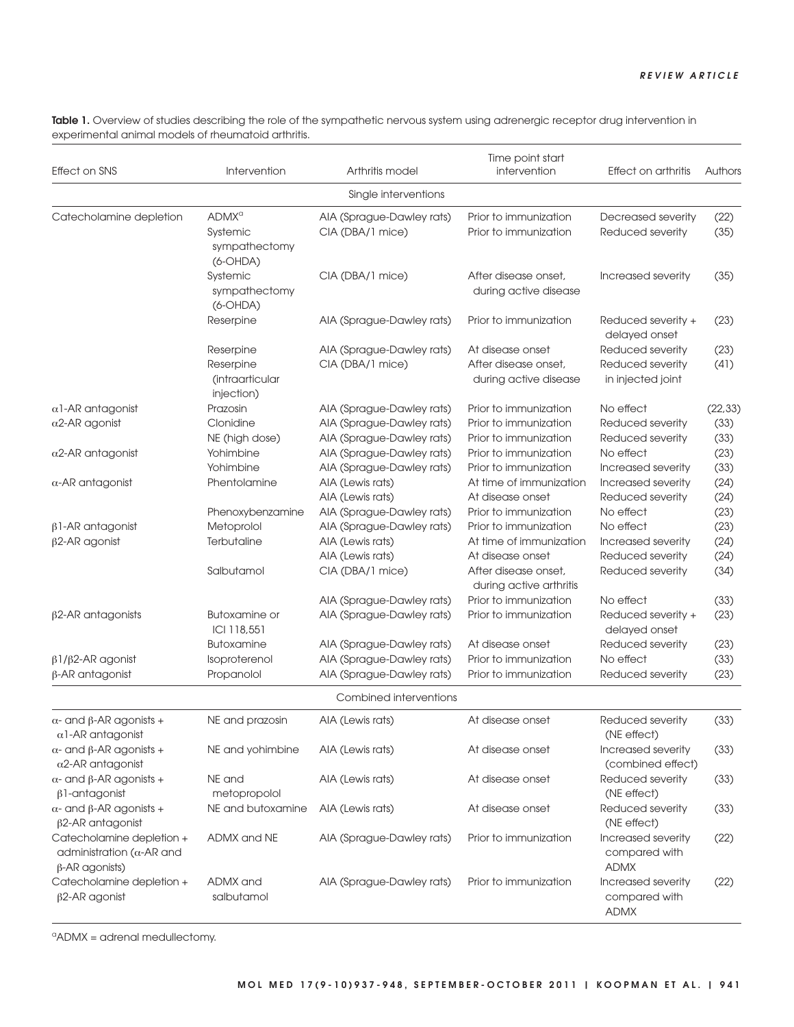Table 1. Overview of studies describing the role of the sympathetic nervous system using adrenergic receptor drug intervention in experimental animal models of rheumatoid arthritis.

| Effect on SNS                                                                           | Intervention                                                           | Arthritis model                                        | Time point start<br>intervention                                  | Effect on arthritis                                       | Authors      |
|-----------------------------------------------------------------------------------------|------------------------------------------------------------------------|--------------------------------------------------------|-------------------------------------------------------------------|-----------------------------------------------------------|--------------|
|                                                                                         |                                                                        | Single interventions                                   |                                                                   |                                                           |              |
| Catecholamine depletion                                                                 | <b>ADMX<sup>a</sup></b><br>Systemic<br>sympathectomy<br>$(6$ -OHDA $)$ | AIA (Sprague-Dawley rats)<br>CIA (DBA/1 mice)          | Prior to immunization<br>Prior to immunization                    | Decreased severity<br>Reduced severity                    | (22)<br>(35) |
|                                                                                         | Systemic<br>sympathectomy<br>$(6$ -OHDA)                               | CIA (DBA/1 mice)                                       | After disease onset,<br>during active disease                     | Increased severity                                        | (35)         |
|                                                                                         | Reserpine                                                              | AIA (Sprague-Dawley rats)                              | Prior to immunization                                             | Reduced severity +<br>delayed onset                       | (23)         |
|                                                                                         | Reserpine<br>Reserpine<br>(intraarticular<br>injection)                | AIA (Sprague-Dawley rats)<br>CIA (DBA/1 mice)          | At disease onset<br>After disease onset,<br>during active disease | Reduced severity<br>Reduced severity<br>in injected joint | (23)<br>(41) |
| $\alpha$ 1-AR antagonist                                                                | Prazosin                                                               | AIA (Sprague-Dawley rats)                              | Prior to immunization                                             | No effect                                                 | (22, 33)     |
| $\alpha$ 2-AR agonist                                                                   | Clonidine<br>NE (high dose)                                            | AIA (Sprague-Dawley rats)<br>AIA (Sprague-Dawley rats) | Prior to immunization<br>Prior to immunization                    | Reduced severity<br>Reduced severity                      | (33)<br>(33) |
| $\alpha$ 2-AR antagonist                                                                | Yohimbine<br>Yohimbine                                                 | AIA (Sprague-Dawley rats)<br>AIA (Sprague-Dawley rats) | Prior to immunization<br>Prior to immunization                    | No effect<br>Increased severity                           | (23)<br>(33) |
| $\alpha$ -AR antagonist                                                                 | Phentolamine                                                           | AIA (Lewis rats)<br>AIA (Lewis rats)                   | At time of immunization<br>At disease onset                       | Increased severity<br>Reduced severity                    | (24)<br>(24) |
|                                                                                         | Phenoxybenzamine                                                       | AIA (Sprague-Dawley rats)                              | Prior to immunization                                             | No effect                                                 | (23)         |
| $\beta$ 1-AR antagonist                                                                 | Metoprolol                                                             | AIA (Sprague-Dawley rats)                              | Prior to immunization                                             | No effect                                                 | (23)         |
| $\beta$ 2-AR agonist                                                                    | Terbutaline                                                            | AIA (Lewis rats)<br>AIA (Lewis rats)                   | At time of immunization<br>At disease onset                       | Increased severity<br>Reduced severity                    | (24)<br>(24) |
|                                                                                         | Salbutamol                                                             | CIA (DBA/1 mice)                                       | After disease onset,<br>during active arthritis                   | Reduced severity                                          | (34)         |
|                                                                                         |                                                                        | AIA (Sprague-Dawley rats)                              | Prior to immunization                                             | No effect                                                 | (33)         |
| $\beta$ 2-AR antagonists                                                                | <b>Butoxamine or</b><br>ICI 118,551                                    | AIA (Sprague-Dawley rats)                              | Prior to immunization                                             | Reduced severity +<br>delayed onset                       | (23)         |
|                                                                                         | <b>Butoxamine</b>                                                      | AIA (Sprague-Dawley rats)                              | At disease onset                                                  | Reduced severity                                          | (23)         |
| $\beta$ 1/ $\beta$ 2-AR agonist                                                         | Isoproterenol                                                          | AIA (Sprague-Dawley rats)                              | Prior to immunization                                             | No effect                                                 | (33)         |
| $\beta$ -AR antagonist                                                                  | Propanolol                                                             | AIA (Sprague-Dawley rats)                              | Prior to immunization                                             | Reduced severity                                          | (23)         |
|                                                                                         |                                                                        | Combined interventions                                 |                                                                   |                                                           |              |
| $\alpha$ - and $\beta$ -AR agonists +<br>$\alpha$ 1-AR antagonist                       | NE and prazosin                                                        | AIA (Lewis rats)                                       | At disease onset                                                  | Reduced severity<br>(NE effect)                           | (33)         |
| $\alpha$ - and $\beta$ -AR agonists +<br>$\alpha$ 2-AR antagonist                       | NE and yohimbine                                                       | AIA (Lewis rats)                                       | At disease onset                                                  | Increased severity<br>(combined effect)                   | (33)         |
| $\alpha$ - and $\beta$ -AR agonists +<br>$\beta$ 1-antagonist                           | NE and<br>metopropolol                                                 | AIA (Lewis rats)                                       | At disease onset                                                  | Reduced severity<br>(NE effect)                           | (33)         |
| $\alpha$ - and $\beta$ -AR agonists +<br>$\beta$ 2-AR antagonist                        | NE and butoxamine                                                      | AIA (Lewis rats)                                       | At disease onset                                                  | Reduced severity<br>(NE effect)                           | (33)         |
| Catecholamine depletion +<br>administration ( $\alpha$ -AR and<br>$\beta$ -AR agonists) | ADMX and NE                                                            | AIA (Sprague-Dawley rats)                              | Prior to immunization                                             | Increased severity<br>compared with<br><b>ADMX</b>        | (22)         |
| Catecholamine depletion +<br>$\beta$ 2-AR agonist                                       | ADMX and<br>salbutamol                                                 | AIA (Sprague-Dawley rats)                              | Prior to immunization                                             | Increased severity<br>compared with<br><b>ADMX</b>        | (22)         |

 $^{\circ}$ ADMX = adrenal medullectomy.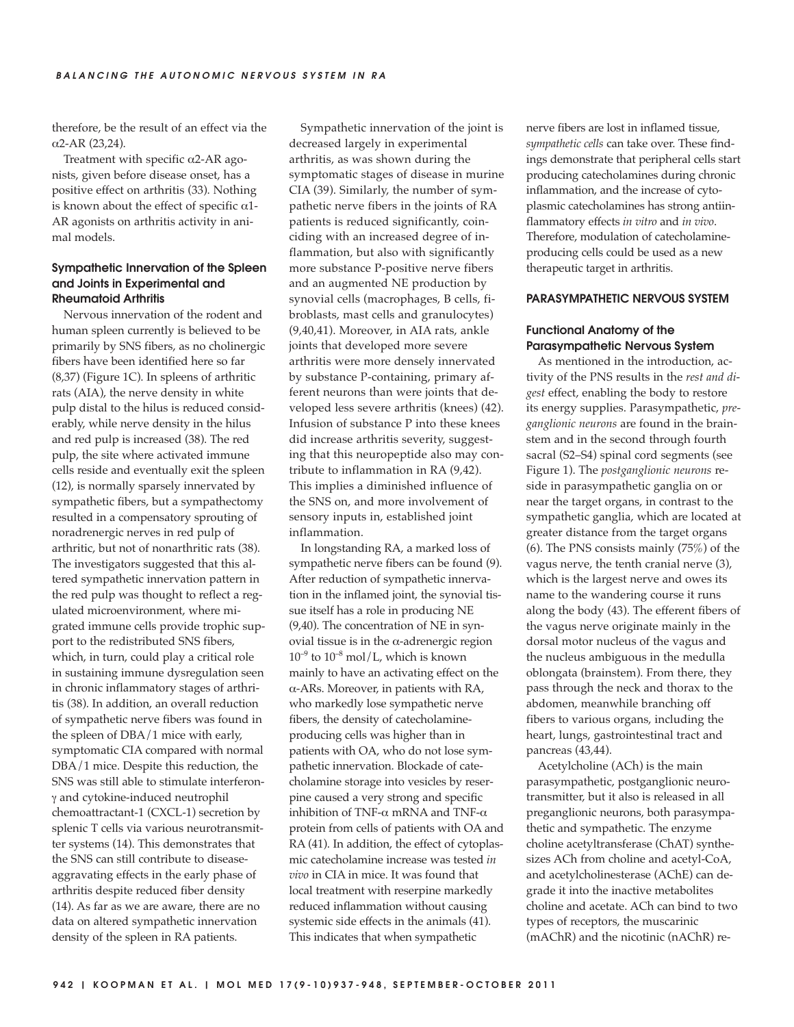therefore, be the result of an effect via the α2-AR (23,24).

Treatment with specific  $\alpha$ 2-AR agonists, given before disease onset, has a positive effect on arthritis (33). Nothing is known about the effect of specific  $\alpha$ 1-AR agonists on arthritis activity in animal models.

# **Sympathetic Innervation of the Spleen and Joints in Experimental and Rheumatoid Arthritis**

Nervous innervation of the rodent and human spleen currently is believed to be primarily by SNS fibers, as no cholinergic fibers have been identified here so far (8,37) (Figure 1C). In spleens of arthritic rats (AIA), the nerve density in white pulp distal to the hilus is reduced considerably, while nerve density in the hilus and red pulp is increased (38). The red pulp, the site where activated immune cells reside and eventually exit the spleen (12), is normally sparsely innervated by sympathetic fibers, but a sympathectomy resulted in a compensatory sprouting of noradrenergic nerves in red pulp of arthritic, but not of nonarthritic rats (38). The investigators suggested that this altered sympathetic innervation pattern in the red pulp was thought to reflect a regulated microenvironment, where migrated immune cells provide trophic support to the redistributed SNS fibers, which, in turn, could play a critical role in sustaining immune dysregulation seen in chronic inflammatory stages of arthritis (38). In addition, an overall reduction of sympathetic nerve fibers was found in the spleen of DBA/1 mice with early, symptomatic CIA compared with normal DBA/1 mice. Despite this reduction, the SNS was still able to stimulate interferonγ and cytokine-induced neutrophil chemoattractant-1 (CXCL-1) secretion by splenic T cells via various neurotransmitter systems (14). This demonstrates that the SNS can still contribute to disease aggravating effects in the early phase of arthritis despite reduced fiber density (14). As far as we are aware, there are no data on altered sympathetic innervation density of the spleen in RA patients.

Sympathetic innervation of the joint is decreased largely in experimental arthritis, as was shown during the symptomatic stages of disease in murine CIA (39). Similarly, the number of sympathetic nerve fibers in the joints of RA patients is reduced significantly, coinciding with an increased degree of inflammation, but also with significantly more substance P-positive nerve fibers and an augmented NE production by synovial cells (macrophages, B cells, fibroblasts, mast cells and granulocytes) (9,40,41). Moreover, in AIA rats, ankle joints that developed more severe arthritis were more densely innervated by substance P-containing, primary afferent neurons than were joints that developed less severe arthritis (knees) (42). Infusion of substance P into these knees did increase arthritis severity, suggesting that this neuropeptide also may contribute to inflammation in RA (9,42). This implies a diminished influence of the SNS on, and more involvement of sensory inputs in, established joint inflammation.

In longstanding RA, a marked loss of sympathetic nerve fibers can be found (9). After reduction of sympathetic innervation in the inflamed joint, the synovial tissue itself has a role in producing NE (9,40). The concentration of NE in synovial tissue is in the α-adrenergic region  $10^{-9}$  to  $10^{-8}$  mol/L, which is known mainly to have an activating effect on the α-ARs. Moreover, in patients with RA, who markedly lose sympathetic nerve fibers, the density of catecholamine producing cells was higher than in patients with OA, who do not lose sympathetic innervation. Blockade of catecholamine storage into vesicles by reserpine caused a very strong and specific inhibition of TNF- $\alpha$  mRNA and TNF- $\alpha$ protein from cells of patients with OA and RA (41). In addition, the effect of cytoplasmic catecholamine increase was tested *in vivo* in CIA in mice. It was found that local treatment with reserpine markedly reduced inflammation without causing systemic side effects in the animals (41). This indicates that when sympathetic

nerve fibers are lost in inflamed tissue, *sympathetic cells* can take over. These findings demonstrate that peripheral cells start producing catecholamines during chronic inflammation, and the increase of cytoplasmic catecholamines has strong antiinflammatory effects *in vitro* and *in vivo*. Therefore, modulation of catecholamineproducing cells could be used as a new therapeutic target in arthritis.

#### **PARASYMPATHETIC NERVOUS SYSTEM**

# **Functional Anatomy of the Parasympathetic Nervous System**

As mentioned in the introduction, activity of the PNS results in the *rest and digest* effect, enabling the body to restore its energy supplies. Parasympathetic, *preganglionic neurons* are found in the brainstem and in the second through fourth sacral (S2–S4) spinal cord segments (see Figure 1). The *postganglionic neurons* reside in parasympathetic ganglia on or near the target organs, in contrast to the sympathetic ganglia, which are located at greater distance from the target organs (6). The PNS consists mainly (75%) of the vagus nerve, the tenth cranial nerve (3), which is the largest nerve and owes its name to the wandering course it runs along the body (43). The efferent fibers of the vagus nerve originate mainly in the dorsal motor nucleus of the vagus and the nucleus ambiguous in the medulla oblongata (brainstem). From there, they pass through the neck and thorax to the abdomen, meanwhile branching off fibers to various organs, including the heart, lungs, gastrointestinal tract and pancreas (43,44).

Acetylcholine (ACh) is the main parasympathetic, postganglionic neurotransmitter, but it also is released in all preganglionic neurons, both parasympathetic and sympathetic. The enzyme choline acetyltransferase (ChAT) synthesizes ACh from choline and acetyl-CoA, and acetylcholinesterase (AChE) can degrade it into the inactive metabolites choline and acetate. ACh can bind to two types of receptors, the muscarinic (mAChR) and the nicotinic (nAChR) re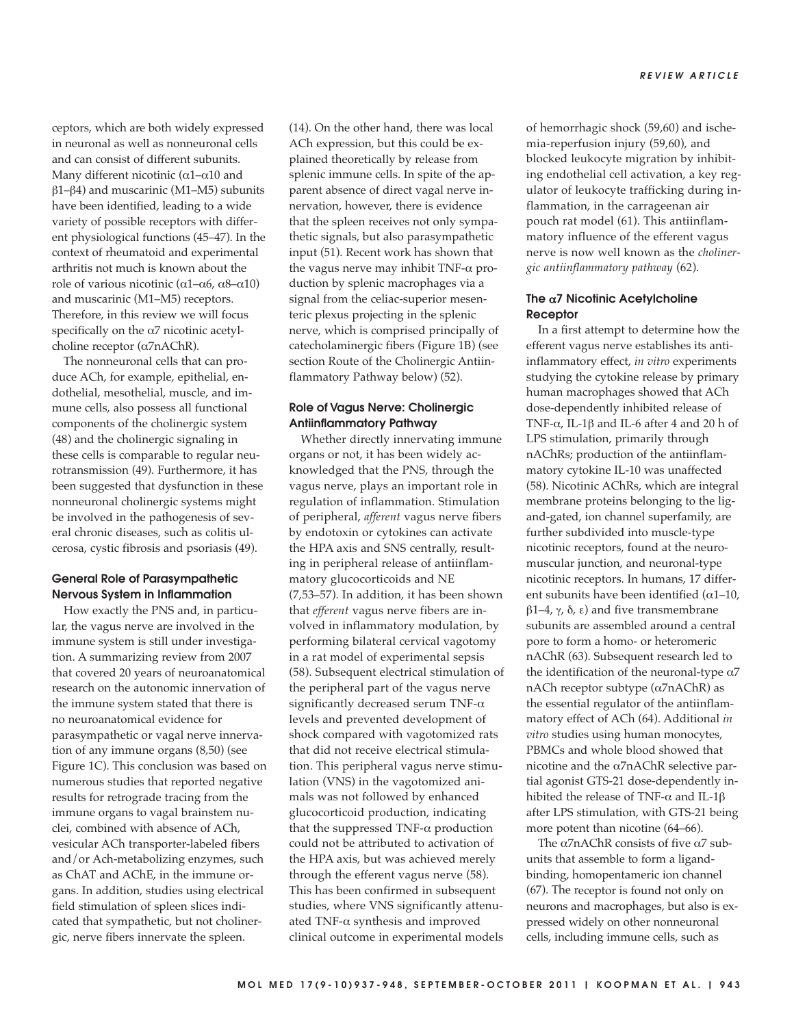ceptors, which are both widely expressed in neuronal as well as nonneuronal cells and can consist of different subunits. Many different nicotinic  $(α1–α10$  and  $β1–β4)$  and muscarinic (M1–M5) subunits have been identified, leading to a wide variety of possible receptors with different physiological functions (45–47). In the context of rheumatoid and experimental arthritis not much is known about the role of various nicotinic ( $\alpha$ 1–α6, α8–α10) and muscarinic (M1–M5) receptors. Therefore, in this review we will focus specifically on the  $\alpha$ 7 nicotinic acetylcholine receptor (α7nAChR).

The nonneuronal cells that can produce ACh, for example, epithelial, endothelial, mesothelial, muscle, and immune cells, also possess all functional components of the cholinergic system (48) and the cholinergic signaling in these cells is comparable to regular neurotransmission (49). Furthermore, it has been suggested that dysfunction in these nonneuronal cholinergic systems might be involved in the pathogenesis of several chronic diseases, such as colitis ulcerosa, cystic fibrosis and psoriasis (49).

#### **General Role of Parasympathetic Nervous System in Inflammation**

How exactly the PNS and, in particular, the vagus nerve are involved in the immune system is still under investigation. A summarizing review from 2007 that covered 20 years of neuroanatomical research on the autonomic innervation of the immune system stated that there is no neuroanatomical evidence for parasympathetic or vagal nerve innervation of any immune organs (8,50) (see Figure 1C). This conclusion was based on numerous studies that reported negative results for retrograde tracing from the immune organs to vagal brainstem nuclei, combined with absence of ACh, vesicular ACh transporter-labeled fibers and/or Ach-metabolizing enzymes, such as ChAT and AChE, in the immune organs. In addition, studies using electrical field stimulation of spleen slices indicated that sympathetic, but not cholinergic, nerve fibers innervate the spleen.

(14). On the other hand, there was local ACh expression, but this could be explained theoretically by release from splenic immune cells. In spite of the apparent absence of direct vagal nerve innervation, however, there is evidence that the spleen receives not only sympathetic signals, but also parasympathetic input (51). Recent work has shown that the vagus nerve may inhibit TNF- $α$  production by splenic macrophages via a signal from the celiac-superior mesenteric plexus projecting in the splenic nerve, which is comprised principally of catecholaminergic fibers (Figure 1B) (see section Route of the Cholinergic Antiinflammatory Pathway below) (52).

# **Role of Vagus Nerve: Cholinergic Antiinflammatory Pathway**

Whether directly innervating immune organs or not, it has been widely acknowledged that the PNS, through the vagus nerve, plays an important role in regulation of inflammation. Stimulation of peripheral, *afferent* vagus nerve fibers by endotoxin or cytokines can activate the HPA axis and SNS centrally, resulting in peripheral release of antiinflammatory glucocorticoids and NE (7,53–57). In addition, it has been shown that *efferent* vagus nerve fibers are involved in inflammatory modulation, by performing bilateral cervical vagotomy in a rat model of experimental sepsis (58). Subsequent electrical stimulation of the peripheral part of the vagus nerve significantly decreased serum TNF- $\alpha$ levels and prevented development of shock compared with vagotomized rats that did not receive electrical stimulation. This peripheral vagus nerve stimulation (VNS) in the vagotomized animals was not followed by enhanced glucocorticoid production, indicating that the suppressed TNF- $\alpha$  production could not be attributed to activation of the HPA axis, but was achieved merely through the efferent vagus nerve (58). This has been confirmed in subsequent studies, where VNS significantly attenuated TNF- $\alpha$  synthesis and improved clinical outcome in experimental models of hemorrhagic shock (59,60) and ischemia-reperfusion injury (59,60), and blocked leukocyte migration by inhibiting endothelial cell activation, a key regulator of leukocyte trafficking during inflammation, in the carrageenan air pouch rat model (61). This antiinflammatory influence of the efferent vagus nerve is now well known as the *cholinergic antiinflammatory pathway* (62).

#### **The** α**7 Nicotinic Acetylcholine Receptor**

In a first attempt to determine how the efferent vagus nerve establishes its antiinflammatory effect, *in vitro* experiments studying the cytokine release by primary human macrophages showed that ACh dose-dependently inhibited release of TNF-α, IL-1β and IL-6 after 4 and 20 h of LPS stimulation, primarily through nAChRs; production of the antiinflammatory cytokine IL-10 was unaffected (58). Nicotinic AChRs, which are integral membrane proteins belonging to the ligand-gated, ion channel superfamily, are further subdivided into muscle-type nicotinic receptors, found at the neuromuscular junction, and neuronal-type nicotinic receptors. In humans, 17 different subunits have been identified  $(\alpha 1-10)$ , β1–4, γ, δ, ε) and five transmembrane subunits are assembled around a central pore to form a homo- or heteromeric nAChR (63). Subsequent research led to the identification of the neuronal-type  $\alpha$ 7 nACh receptor subtype (α7nAChR) as the essential regulator of the antiinflammatory effect of ACh (64). Additional *in vitro* studies using human monocytes, PBMCs and whole blood showed that nicotine and the α7nAChR selective partial agonist GTS-21 dose-dependently inhibited the release of TNF- $\alpha$  and IL-1β after LPS stimulation, with GTS-21 being more potent than nicotine (64–66).

The  $\alpha$ 7nAChR consists of five  $\alpha$ 7 subunits that assemble to form a ligandbinding, homopentameric ion channel (67). The receptor is found not only on neurons and macrophages, but also is expressed widely on other nonneuronal cells, including immune cells, such as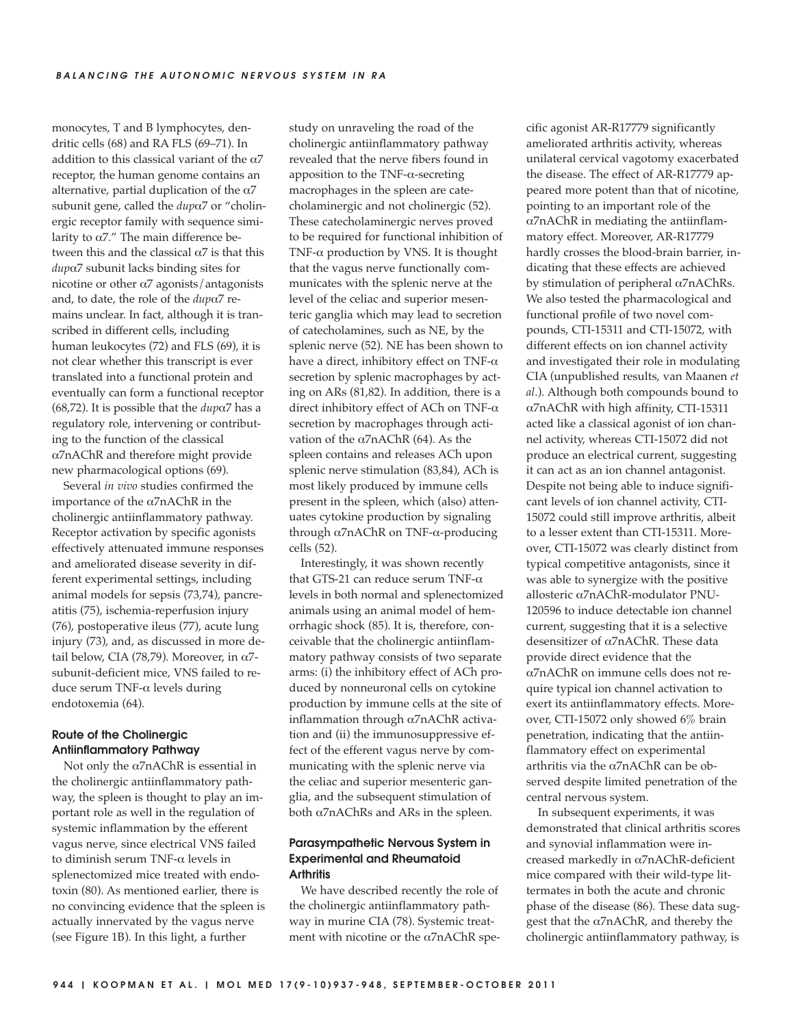monocytes, T and B lymphocytes, dendritic cells (68) and RA FLS (69–71). In addition to this classical variant of the  $\alpha$ 7 receptor, the human genome contains an alternative, partial duplication of the  $\alpha$ 7 subunit gene, called the *dup*α7 or "cholinergic receptor family with sequence similarity to  $\alpha$ 7." The main difference between this and the classical  $\alpha$ 7 is that this *dup*α7 subunit lacks binding sites for nicotine or other α7 agonists/ antagonists and, to date, the role of the *dup*α7 remains unclear. In fact, although it is transcribed in different cells, including human leukocytes (72) and FLS (69), it is not clear whether this transcript is ever translated into a functional protein and eventually can form a functional receptor (68,72). It is possible that the *dup*α7 has a regulatory role, intervening or contributing to the function of the classical α7nAChR and therefore might provide new pharmacological options (69).

Several *in vivo* studies confirmed the importance of the α7nAChR in the cholinergic antiinflammatory pathway. Receptor activation by specific agonists effectively attenuated immune responses and ameliorated disease severity in different experimental settings, including animal models for sepsis (73,74), pancreatitis (75), ischemia-reperfusion injury (76), postoperative ileus (77), acute lung injury (73), and, as discussed in more detail below, CIA (78,79). Moreover, in  $\alpha$ 7subunit-deficient mice, VNS failed to reduce serum TNF-α levels during endotoxemia (64).

## **Route of the Cholinergic Antiinflammatory Pathway**

Not only the  $\alpha$ 7nAChR is essential in the cholinergic antiinflammatory pathway, the spleen is thought to play an important role as well in the regulation of systemic inflammation by the efferent vagus nerve, since electrical VNS failed to diminish serum TNF-α levels in splenectomized mice treated with endotoxin (80). As mentioned earlier, there is no convincing evidence that the spleen is actually innervated by the vagus nerve (see Figure 1B). In this light, a further

study on unraveling the road of the cholinergic antiinflammatory pathway revealed that the nerve fibers found in apposition to the TNF-α-secreting macrophages in the spleen are catecholaminergic and not cholinergic (52). These catecholaminergic nerves proved to be required for functional inhibition of TNF-α production by VNS. It is thought that the vagus nerve functionally communicates with the splenic nerve at the level of the celiac and superior mesenteric ganglia which may lead to secretion of catecholamines, such as NE, by the splenic nerve (52). NE has been shown to have a direct, inhibitory effect on TNF- $\alpha$ secretion by splenic macrophages by acting on ARs (81,82). In addition, there is a direct inhibitory effect of ACh on TNF-α secretion by macrophages through activation of the α7nAChR (64). As the spleen contains and releases ACh upon splenic nerve stimulation (83,84), ACh is most likely produced by immune cells present in the spleen, which (also) attenuates cytokine production by signaling through α7nAChR on TNF-α-producing cells (52).

Interestingly, it was shown recently that GTS-21 can reduce serum TNF- $\alpha$ levels in both normal and splenectomized animals using an animal model of hemorrhagic shock (85). It is, therefore, conceivable that the cholinergic antiinflammatory pathway consists of two separate arms: (i) the inhibitory effect of ACh produced by nonneuronal cells on cytokine production by immune cells at the site of inflammation through α7nAChR activation and (ii) the immunosuppressive effect of the efferent vagus nerve by communicating with the splenic nerve via the celiac and superior mesenteric ganglia, and the subsequent stimulation of both α7nAChRs and ARs in the spleen.

# **Parasympathetic Nervous System in Experimental and Rheumatoid Arthritis**

We have described recently the role of the cholinergic antiinflammatory pathway in murine CIA (78). Systemic treatment with nicotine or the  $\alpha$ 7nAChR specific agonist AR-R17779 significantly ameliorated arthritis activity, whereas unilateral cervical vagotomy exacerbated the disease. The effect of AR-R17779 appeared more potent than that of nicotine, pointing to an important role of the α7nAChR in mediating the antiinflammatory effect. Moreover, AR-R17779 hardly crosses the blood-brain barrier, indicating that these effects are achieved by stimulation of peripheral α7nAChRs. We also tested the pharmacological and functional profile of two novel compounds, CTI-15311 and CTI-15072, with different effects on ion channel activity and investigated their role in modulating CIA (unpublished results, van Maanen *et al*.). Although both compounds bound to α7nAChR with high affinity, CTI-15311 acted like a classical agonist of ion channel activity, whereas CTI-15072 did not produce an electrical current, suggesting it can act as an ion channel antagonist. Despite not being able to induce significant levels of ion channel activity, CTI-15072 could still improve arthritis, albeit to a lesser extent than CTI-15311. Moreover, CTI-15072 was clearly distinct from typical competitive antagonists, since it was able to synergize with the positive allosteric α7nAChR-modulator PNU-120596 to induce detectable ion channel current, suggesting that it is a selective desensitizer of α7nAChR. These data provide direct evidence that the α7nAChR on immune cells does not require typical ion channel activation to exert its antiinflammatory effects. Moreover, CTI-15072 only showed 6% brain penetration, indicating that the antiinflammatory effect on experimental arthritis via the α7nAChR can be observed despite limited penetration of the central nervous system.

In subsequent experiments, it was demonstrated that clinical arthritis scores and synovial inflammation were increased markedly in α7nAChR-deficient mice compared with their wild-type littermates in both the acute and chronic phase of the disease (86). These data suggest that the α7nAChR, and thereby the cholinergic antiinflammatory pathway, is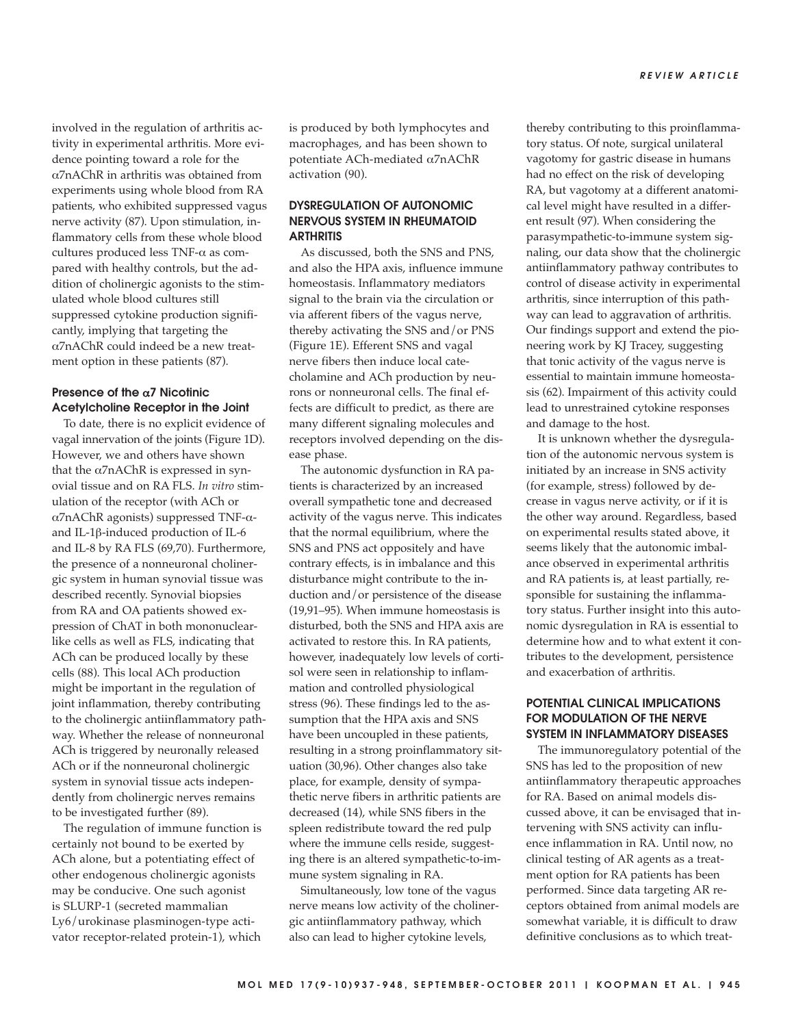involved in the regulation of arthritis activity in experimental arthritis. More evidence pointing toward a role for the α7nAChR in arthritis was obtained from experiments using whole blood from RA patients, who exhibited suppressed vagus nerve activity (87). Upon stimulation, inflammatory cells from these whole blood cultures produced less  $TNF-\alpha$  as compared with healthy controls, but the addition of cholinergic agonists to the stimulated whole blood cultures still suppressed cytokine production significantly, implying that targeting the α7nAChR could indeed be a new treatment option in these patients (87).

# **Presence of the** α**7 Nicotinic Acetylcholine Receptor in the Joint**

To date, there is no explicit evidence of vagal innervation of the joints (Figure 1D). However, we and others have shown that the α7nAChR is expressed in synovial tissue and on RA FLS. *In vitro* stimulation of the receptor (with ACh or α7nAChR agonists) suppressed TNF-αand IL-1β-induced production of IL-6 and IL-8 by RA FLS (69,70). Furthermore, the presence of a nonneuronal cholinergic system in human synovial tissue was described recently. Synovial biopsies from RA and OA patients showed expression of ChAT in both mononuclearlike cells as well as FLS, indicating that ACh can be produced locally by these cells (88). This local ACh production might be important in the regulation of joint inflammation, thereby contributing to the cholinergic antiinflammatory pathway. Whether the release of nonneuronal ACh is triggered by neuronally released ACh or if the nonneuronal cholinergic system in synovial tissue acts independently from cholinergic nerves remains to be investigated further (89).

The regulation of immune function is certainly not bound to be exerted by ACh alone, but a potentiating effect of other endogenous cholinergic agonists may be conducive. One such agonist is SLURP-1 (secreted mammalian Ly6/urokinase plasminogen-type activator receptor-related protein-1), which

is produced by both lymphocytes and macrophages, and has been shown to potentiate ACh-mediated α7nAChR activation (90).

# **DYSREGULATION OF AUTONOMIC NERVOUS SYSTEM IN RHEUMATOID ARTHRITIS**

As discussed, both the SNS and PNS, and also the HPA axis, influence immune homeostasis. Inflammatory mediators signal to the brain via the circulation or via afferent fibers of the vagus nerve, thereby activating the SNS and/or PNS (Figure 1E). Efferent SNS and vagal nerve fibers then induce local catecholamine and ACh production by neurons or nonneuronal cells. The final effects are difficult to predict, as there are many different signaling molecules and receptors involved depending on the disease phase.

The autonomic dysfunction in RA patients is characterized by an increased overall sympathetic tone and decreased activity of the vagus nerve. This indicates that the normal equilibrium, where the SNS and PNS act oppositely and have contrary effects, is in imbalance and this disturbance might contribute to the induction and/or persistence of the disease (19,91–95). When immune homeostasis is disturbed, both the SNS and HPA axis are activated to restore this. In RA patients, however, inadequately low levels of cortisol were seen in relationship to inflammation and controlled physiological stress (96). These findings led to the assumption that the HPA axis and SNS have been uncoupled in these patients, resulting in a strong proinflammatory situation (30,96). Other changes also take place, for example, density of sympathetic nerve fibers in arthritic patients are decreased (14), while SNS fibers in the spleen redistribute toward the red pulp where the immune cells reside, suggesting there is an altered sympathetic-to-immune system signaling in RA.

Simultaneously, low tone of the vagus nerve means low activity of the cholinergic antiinflammatory pathway, which also can lead to higher cytokine levels,

thereby contributing to this proinflammatory status. Of note, surgical unilateral vagotomy for gastric disease in humans had no effect on the risk of developing RA, but vagotomy at a different anatomical level might have resulted in a different result (97). When considering the parasympathetic-to-immune system signaling, our data show that the cholinergic antiinflammatory pathway contributes to control of disease activity in experimental arthritis, since interruption of this pathway can lead to aggravation of arthritis. Our findings support and extend the pioneering work by KJ Tracey, suggesting that tonic activity of the vagus nerve is essential to maintain immune homeostasis (62). Impairment of this activity could lead to unrestrained cytokine responses and damage to the host.

It is unknown whether the dysregulation of the autonomic nervous system is initiated by an increase in SNS activity (for example, stress) followed by decrease in vagus nerve activity, or if it is the other way around. Regardless, based on experimental results stated above, it seems likely that the autonomic imbalance observed in experimental arthritis and RA patients is, at least partially, responsible for sustaining the inflammatory status. Further insight into this autonomic dysregulation in RA is essential to determine how and to what extent it contributes to the development, persistence and exacerbation of arthritis.

# **POTENTIAL CLINICAL IMPLICATIONS FOR MODULATION OF THE NERVE SYSTEM IN INFLAMMATORY DISEASES**

The immunoregulatory potential of the SNS has led to the proposition of new antiinflammatory therapeutic approaches for RA. Based on animal models discussed above, it can be envisaged that intervening with SNS activity can influence inflammation in RA. Until now, no clinical testing of AR agents as a treatment option for RA patients has been performed. Since data targeting AR receptors obtained from animal models are somewhat variable, it is difficult to draw definitive conclusions as to which treat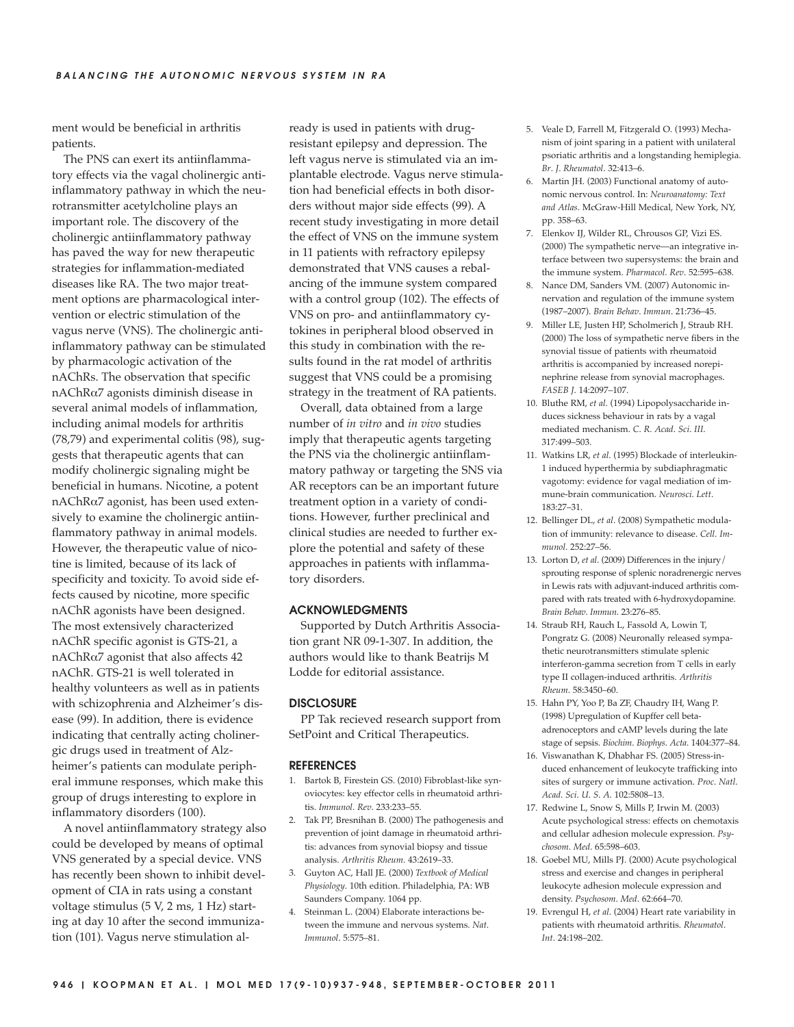ment would be beneficial in arthritis patients.

The PNS can exert its antiinflammatory effects via the vagal cholinergic antiinflammatory pathway in which the neurotransmitter acetylcholine plays an important role. The discovery of the cholinergic antiinflammatory pathway has paved the way for new therapeutic strategies for inflammation-mediated diseases like RA. The two major treatment options are pharmacological intervention or electric stimulation of the vagus nerve (VNS). The cholinergic antiinflammatory pathway can be stimulated by pharmacologic activation of the nAChRs. The observation that specific nAChRα7 agonists diminish disease in several animal models of inflammation, including animal models for arthritis (78,79) and experimental colitis (98), suggests that therapeutic agents that can modify cholinergic signaling might be beneficial in humans. Nicotine, a potent nAChRα7 agonist, has been used extensively to examine the cholinergic antiinflammatory pathway in animal models. However, the therapeutic value of nicotine is limited, because of its lack of specificity and toxicity. To avoid side effects caused by nicotine, more specific nAChR agonists have been designed. The most extensively characterized nAChR specific agonist is GTS-21, a nAChRα7 agonist that also affects 42 nAChR. GTS-21 is well tolerated in healthy volunteers as well as in patients with schizophrenia and Alzheimer's disease (99). In addition, there is evidence indicating that centrally acting cholinergic drugs used in treatment of Alzheimer's patients can modulate peripheral immune responses, which make this group of drugs interesting to explore in inflammatory disorders (100).

A novel antiinflammatory strategy also could be developed by means of optimal VNS generated by a special device. VNS has recently been shown to inhibit development of CIA in rats using a constant voltage stimulus (5 V, 2 ms, 1 Hz) starting at day 10 after the second immunization (101). Vagus nerve stimulation already is used in patients with drug resistant epilepsy and depression. The left vagus nerve is stimulated via an implantable electrode. Vagus nerve stimulation had beneficial effects in both disorders without major side effects (99). A recent study investigating in more detail the effect of VNS on the immune system in 11 patients with refractory epilepsy demonstrated that VNS causes a rebalancing of the immune system compared with a control group (102). The effects of VNS on pro- and antiinflammatory cytokines in peripheral blood observed in this study in combination with the results found in the rat model of arthritis suggest that VNS could be a promising strategy in the treatment of RA patients.

Overall, data obtained from a large number of *in vitro* and *in vivo* studies imply that therapeutic agents targeting the PNS via the cholinergic antiinflammatory pathway or targeting the SNS via AR receptors can be an important future treatment option in a variety of conditions. However, further preclinical and clinical studies are needed to further explore the potential and safety of these approaches in patients with inflammatory disorders.

#### **ACKNOWLEDGMENTS**

Supported by Dutch Arthritis Association grant NR 09-1-307. In addition, the authors would like to thank Beatrijs M Lodde for editorial assistance.

#### **DISCLOSURE**

PP Tak recieved research support from SetPoint and Critical Therapeutics.

#### **REFERENCES**

- 1. Bartok B, Firestein GS. (2010) Fibroblast-like synoviocytes: key effector cells in rheumatoid arthritis. *Immunol*. *Rev*. 233:233–55.
- 2. Tak PP, Bresnihan B. (2000) The pathogenesis and prevention of joint damage in rheumatoid arthritis: advances from synovial biopsy and tissue analysis. *Arthritis Rheum*. 43:2619–33.
- 3. Guyton AC, Hall JE. (2000) *Textbook of Medical Physiology*. 10th edition. Philadelphia, PA: WB Saunders Company. 1064 pp.
- 4. Steinman L. (2004) Elaborate interactions between the immune and nervous systems. *Nat*. *Immunol*. 5:575–81.
- 5. Veale D, Farrell M, Fitzgerald O. (1993) Mechanism of joint sparing in a patient with unilateral psoriatic arthritis and a longstanding hemiplegia. *Br*. *J*. *Rheumatol*. 32:413–6.
- 6. Martin JH. (2003) Functional anatomy of autonomic nervous control. In: *Neuroanatomy: Text and Atlas*. McGraw-Hill Medical, New York, NY, pp. 358–63.
- 7. Elenkov IJ, Wilder RL, Chrousos GP, Vizi ES. (2000) The sympathetic nerve—an integrative interface between two supersystems: the brain and the immune system. *Pharmacol*. *Rev*. 52:595–638.
- 8. Nance DM, Sanders VM. (2007) Autonomic innervation and regulation of the immune system (1987–2007). *Brain Behav*. *Immun*. 21:736–45.
- 9. Miller LE, Justen HP, Scholmerich J, Straub RH. (2000) The loss of sympathetic nerve fibers in the synovial tissue of patients with rheumatoid arthritis is accompanied by increased norepinephrine release from synovial macrophages. *FASEB J*. 14:2097–107.
- 10. Bluthe RM, *et al*. (1994) Lipopolysaccharide induces sickness behaviour in rats by a vagal mediated mechanism. *C*. *R*. *Acad*. *Sci*. *III*. 317:499–503.
- 11. Watkins LR, *et al*. (1995) Blockade of interleukin-1 induced hyperthermia by subdiaphragmatic vagotomy: evidence for vagal mediation of immune-brain communication. *Neurosci*. *Lett*. 183:27–31.
- 12. Bellinger DL, *et al*. (2008) Sympathetic modulation of immunity: relevance to disease. *Cell*. *Immunol*. 252:27–56.
- 13. Lorton D, *et al*. (2009) Differences in the injury/ sprouting response of splenic noradrenergic nerves in Lewis rats with adjuvant-induced arthritis compared with rats treated with 6-hydroxydopamine. *Brain Behav*. *Immun*. 23:276–85.
- 14. Straub RH, Rauch L, Fassold A, Lowin T, Pongratz G. (2008) Neuronally released sympathetic neurotransmitters stimulate splenic interferon-gamma secretion from T cells in early type II collagen-induced arthritis. *Arthritis Rheum*. 58:3450–60.
- 15. Hahn PY, Yoo P, Ba ZF, Chaudry IH, Wang P. (1998) Upregulation of Kupffer cell beta adrenoceptors and cAMP levels during the late stage of sepsis. *Biochim*. *Biophys*. *Acta*. 1404:377–84.
- 16. Viswanathan K, Dhabhar FS. (2005) Stress-induced enhancement of leukocyte trafficking into sites of surgery or immune activation. *Proc*. *Natl*. *Acad*. *Sci*. *U*. *S*. *A*. 102:5808–13.
- 17. Redwine L, Snow S, Mills P, Irwin M. (2003) Acute psychological stress: effects on chemotaxis and cellular adhesion molecule expression. *Psychosom*. *Med*. 65:598–603.
- 18. Goebel MU, Mills PJ. (2000) Acute psychological stress and exercise and changes in peripheral leukocyte adhesion molecule expression and density. *Psychosom*. *Med*. 62:664–70.
- 19. Evrengul H, *et al*. (2004) Heart rate variability in patients with rheumatoid arthritis. *Rheumatol*. *Int*. 24:198–202.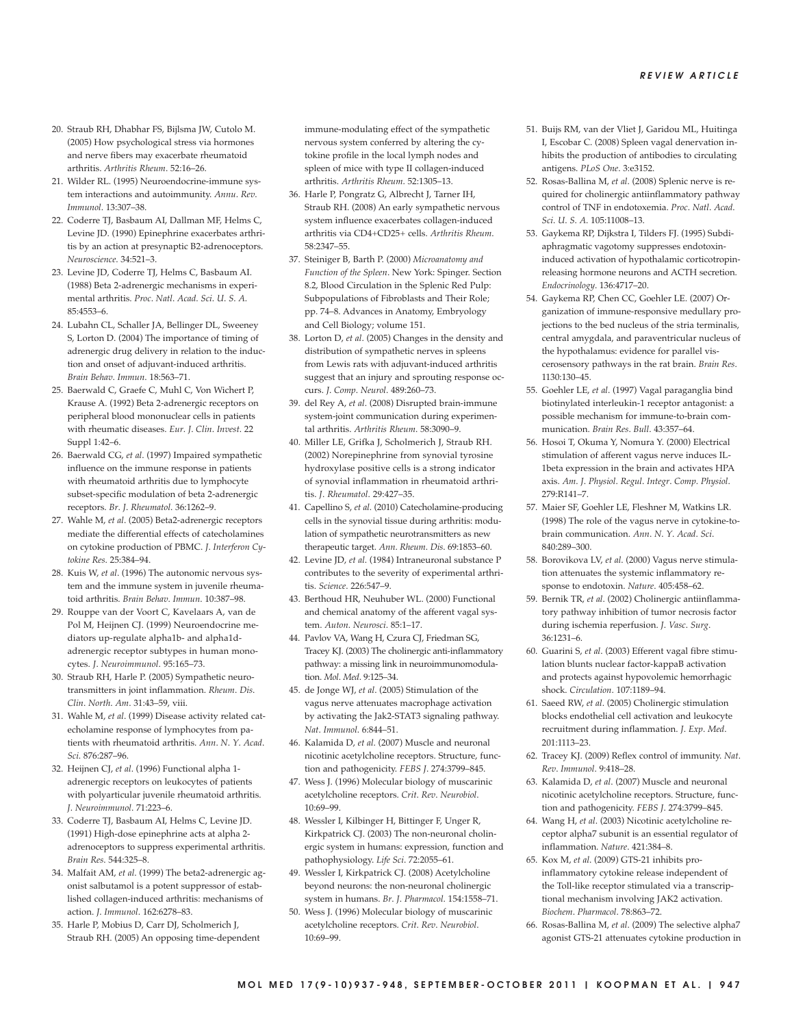- 20. Straub RH, Dhabhar FS, Bijlsma JW, Cutolo M. (2005) How psychological stress via hormones and nerve fibers may exacerbate rheumatoid arthritis. *Arthritis Rheum*. 52:16–26.
- 21. Wilder RL. (1995) Neuroendocrine-immune system interactions and autoimmunity. *Annu*. *Rev*. *Immunol*. 13:307–38.
- 22. Coderre TJ, Basbaum AI, Dallman MF, Helms C, Levine JD. (1990) Epinephrine exacerbates arthritis by an action at presynaptic B2-adrenoceptors. *Neuroscience*. 34:521–3.
- 23. Levine JD, Coderre TJ, Helms C, Basbaum AI. (1988) Beta 2-adrenergic mechanisms in experimental arthritis. *Proc*. *Natl*. *Acad*. *Sci*. *U*. *S*. *A*. 85:4553–6.
- 24. Lubahn CL, Schaller JA, Bellinger DL, Sweeney S, Lorton D. (2004) The importance of timing of adrenergic drug delivery in relation to the induction and onset of adjuvant-induced arthritis. *Brain Behav*. *Immun*. 18:563–71.
- 25. Baerwald C, Graefe C, Muhl C, Von Wichert P, Krause A. (1992) Beta 2-adrenergic receptors on peripheral blood mononuclear cells in patients with rheumatic diseases. *Eur*. *J*. *Clin*. *Invest*. 22 Suppl 1:42–6.
- 26. Baerwald CG, *et al*. (1997) Impaired sympathetic influence on the immune response in patients with rheumatoid arthritis due to lymphocyte subset-specific modulation of beta 2-adrenergic receptors. *Br*. *J*. *Rheumatol*. 36:1262–9.
- 27. Wahle M, *et al*. (2005) Beta2-adrenergic receptors mediate the differential effects of catecholamines on cytokine production of PBMC. *J*. *Interferon Cytokine Res*. 25:384–94.
- 28. Kuis W, *et al*. (1996) The autonomic nervous system and the immune system in juvenile rheumatoid arthritis. *Brain Behav*. *Immun*. 10:387–98.
- 29. Rouppe van der Voort C, Kavelaars A, van de Pol M, Heijnen CJ. (1999) Neuroendocrine mediators up-regulate alpha1b- and alpha1dadrenergic receptor subtypes in human monocytes. *J*. *Neuroimmunol*. 95:165–73.
- 30. Straub RH, Harle P. (2005) Sympathetic neurotransmitters in joint inflammation. *Rheum*. *Dis*. *Clin*. *North*. *Am*. 31:43–59, viii.
- 31. Wahle M, *et al*. (1999) Disease activity related catecholamine response of lymphocytes from patients with rheumatoid arthritis. *Ann*. *N*. *Y*. *Acad*. *Sci*. 876:287–96.
- 32. Heijnen CJ, *et al*. (1996) Functional alpha 1 adrenergic receptors on leukocytes of patients with polyarticular juvenile rheumatoid arthritis. *J*. *Neuroimmunol*. 71:223–6.
- 33. Coderre TJ, Basbaum AI, Helms C, Levine JD. (1991) High-dose epinephrine acts at alpha 2 adrenoceptors to suppress experimental arthritis. *Brain Res*. 544:325–8.
- 34. Malfait AM, *et al*. (1999) The beta2-adrenergic agonist salbutamol is a potent suppressor of established collagen-induced arthritis: mechanisms of action. *J*. *Immunol*. 162:6278–83.
- 35. Harle P, Mobius D, Carr DJ, Scholmerich J, Straub RH. (2005) An opposing time-dependent

immune-modulating effect of the sympathetic nervous system conferred by altering the cytokine profile in the local lymph nodes and spleen of mice with type II collagen-induced arthritis. *Arthritis Rheum*. 52:1305–13.

- 36. Harle P, Pongratz G, Albrecht J, Tarner IH, Straub RH. (2008) An early sympathetic nervous system influence exacerbates collagen-induced arthritis via CD4+CD25+ cells. *Arthritis Rheum*. 58:2347–55.
- 37. Steiniger B, Barth P. (2000) *Microanatomy and Function of the Spleen*. New York: Spinger. Section 8.2, Blood Circulation in the Splenic Red Pulp: Subpopulations of Fibroblasts and Their Role; pp. 74–8. Advances in Anatomy, Embryology and Cell Biology; volume 151.
- 38. Lorton D, *et al*. (2005) Changes in the density and distribution of sympathetic nerves in spleens from Lewis rats with adjuvant-induced arthritis suggest that an injury and sprouting response occurs. *J*. *Comp*. *Neurol*. 489:260–73.
- 39. del Rey A, *et al*. (2008) Disrupted brain-immune system-joint communication during experimental arthritis. *Arthritis Rheum*. 58:3090–9.
- 40. Miller LE, Grifka J, Scholmerich J, Straub RH. (2002) Norepinephrine from synovial tyrosine hydroxylase positive cells is a strong indicator of synovial inflammation in rheumatoid arthritis. *J*. *Rheumatol*. 29:427–35.
- 41. Capellino S, *et al*. (2010) Catecholamine-producing cells in the synovial tissue during arthritis: modulation of sympathetic neurotransmitters as new therapeutic target. *Ann*. *Rheum*. *Dis*. 69:1853–60.
- 42. Levine JD, *et al*. (1984) Intraneuronal substance P contributes to the severity of experimental arthritis. *Science*. 226:547–9.
- 43. Berthoud HR, Neuhuber WL. (2000) Functional and chemical anatomy of the afferent vagal system. *Auton*. *Neurosci*. 85:1–17.
- 44. Pavlov VA, Wang H, Czura CJ, Friedman SG, Tracey KJ. (2003) The cholinergic anti-inflammatory pathway: a missing link in neuroimmunomodulation. *Mol*. *Med*. 9:125–34.
- 45. de Jonge WJ, *et al*. (2005) Stimulation of the vagus nerve attenuates macrophage activation by activating the Jak2-STAT3 signaling pathway. *Nat*. *Immunol*. 6:844–51.
- 46. Kalamida D, *et al*. (2007) Muscle and neuronal nicotinic acetylcholine receptors. Structure, function and pathogenicity. *FEBS J*. 274:3799–845.
- 47. Wess J. (1996) Molecular biology of muscarinic acetylcholine receptors. *Crit*. *Rev*. *Neurobiol*. 10:69–99.
- 48. Wessler I, Kilbinger H, Bittinger F, Unger R, Kirkpatrick CJ. (2003) The non-neuronal cholinergic system in humans: expression, function and pathophysiology. *Life Sci*. 72:2055–61.
- 49. Wessler I, Kirkpatrick CJ. (2008) Acetylcholine beyond neurons: the non-neuronal cholinergic system in humans. *Br*. *J*. *Pharmacol*. 154:1558–71.
- 50. Wess J. (1996) Molecular biology of muscarinic acetylcholine receptors. *Crit*. *Rev*. *Neurobiol*. 10:69–99.
- 51. Buijs RM, van der Vliet J, Garidou ML, Huitinga I, Escobar C. (2008) Spleen vagal denervation inhibits the production of antibodies to circulating antigens. *PLoS One*. 3:e3152.
- 52. Rosas-Ballina M, *et al*. (2008) Splenic nerve is required for cholinergic antiinflammatory pathway control of TNF in endotoxemia. *Proc*. *Natl*. *Acad*. *Sci*. *U*. *S*. *A*. 105:11008–13.
- 53. Gaykema RP, Dijkstra I, Tilders FJ. (1995) Subdiaphragmatic vagotomy suppresses endotoxin induced activation of hypothalamic corticotropinreleasing hormone neurons and ACTH secretion. *Endocrinology*. 136:4717–20.
- 54. Gaykema RP, Chen CC, Goehler LE. (2007) Organization of immune-responsive medullary projections to the bed nucleus of the stria terminalis, central amygdala, and paraventricular nucleus of the hypothalamus: evidence for parallel viscerosensory pathways in the rat brain. *Brain Res*. 1130:130–45.
- 55. Goehler LE, *et al*. (1997) Vagal paraganglia bind biotinylated interleukin-1 receptor antagonist: a possible mechanism for immune-to-brain communication. *Brain Res*. *Bull*. 43:357–64.
- 56. Hosoi T, Okuma Y, Nomura Y. (2000) Electrical stimulation of afferent vagus nerve induces IL-1beta expression in the brain and activates HPA axis. *Am*. *J*. *Physiol*. *Regul*. *Integr*. *Comp*. *Physiol*. 279:R141–7.
- 57. Maier SF, Goehler LE, Fleshner M, Watkins LR. (1998) The role of the vagus nerve in cytokine-tobrain communication. *Ann*. *N*. *Y*. *Acad*. *Sci*. 840:289–300.
- 58. Borovikova LV, *et al*. (2000) Vagus nerve stimulation attenuates the systemic inflammatory response to endotoxin. *Nature*. 405:458–62.
- 59. Bernik TR, *et al*. (2002) Cholinergic antiinflammatory pathway inhibition of tumor necrosis factor during ischemia reperfusion. *J*. *Vasc*. *Surg*. 36:1231–6.
- 60. Guarini S, *et al*. (2003) Efferent vagal fibre stimulation blunts nuclear factor-kappaB activation and protects against hypovolemic hemorrhagic shock. *Circulation*. 107:1189–94.
- 61. Saeed RW, *et al*. (2005) Cholinergic stimulation blocks endothelial cell activation and leukocyte recruitment during inflammation. *J*. *Exp*. *Med*. 201:1113–23.
- 62. Tracey KJ. (2009) Reflex control of immunity. *Nat*. *Rev*. *Immunol*. 9:418–28.
- 63. Kalamida D, *et al*. (2007) Muscle and neuronal nicotinic acetylcholine receptors. Structure, function and pathogenicity. *FEBS J*. 274:3799–845.
- 64. Wang H, *et al*. (2003) Nicotinic acetylcholine receptor alpha7 subunit is an essential regulator of inflammation. *Nature*. 421:384–8.
- 65. Kox M, *et al*. (2009) GTS-21 inhibits pro inflammatory cytokine release independent of the Toll-like receptor stimulated via a transcriptional mechanism involving JAK2 activation. *Biochem*. *Pharmacol*. 78:863–72.
- 66. Rosas-Ballina M, *et al*. (2009) The selective alpha7 agonist GTS-21 attenuates cytokine production in